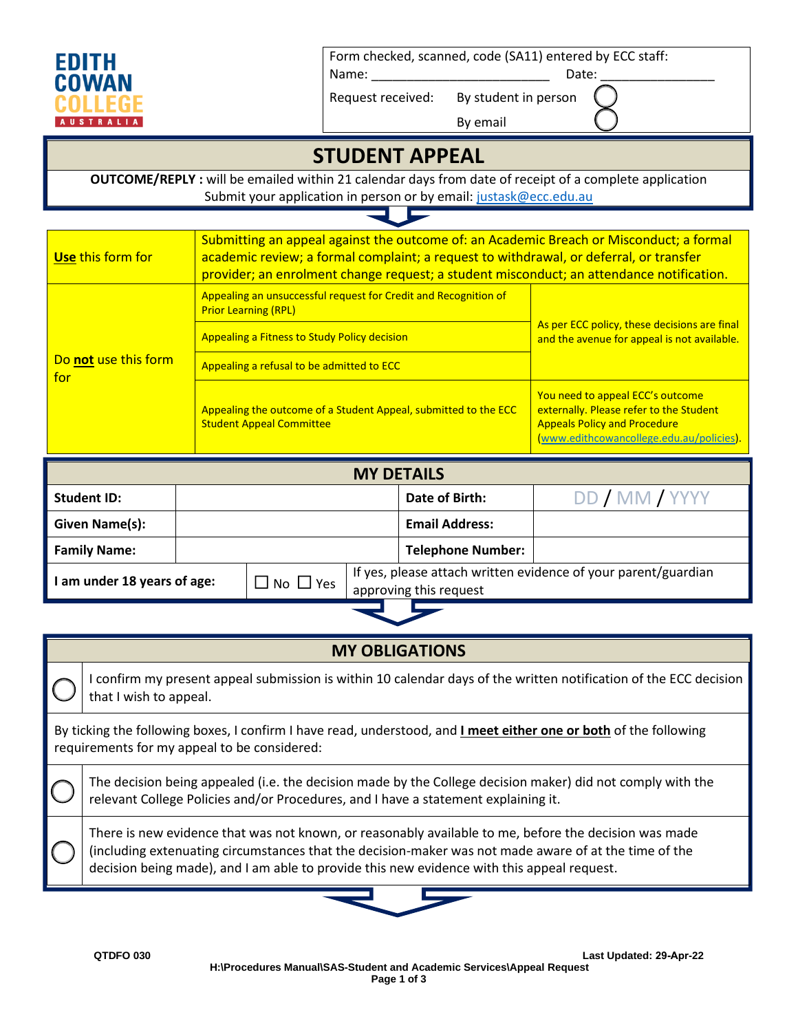

Form checked, scanned, code (SA11) entered by ECC staff:

Name: \_\_\_\_\_\_\_\_\_\_\_\_\_\_\_\_\_\_\_\_\_\_\_\_\_ Date: \_\_\_\_\_\_\_\_\_\_\_\_\_\_\_\_

Request received: By student in person

By email

## **STUDENT APPEAL**

**OUTCOME/REPLY :** will be emailed within 21 calendar days from date of receipt of a complete application Submit your application in person or by email[: justask@ecc.edu.au](mailto:justask@ecc.edu.au)

o.

⋤

| Use this form for           | Submitting an appeal against the outcome of: an Academic Breach or Misconduct; a formal<br>academic review; a formal complaint; a request to withdrawal, or deferral, or transfer<br>provider; an enrolment change request; a student misconduct; an attendance notification. |                                                                                                                                                                |  |  |
|-----------------------------|-------------------------------------------------------------------------------------------------------------------------------------------------------------------------------------------------------------------------------------------------------------------------------|----------------------------------------------------------------------------------------------------------------------------------------------------------------|--|--|
| Do not use this form<br>for | Appealing an unsuccessful request for Credit and Recognition of<br><b>Prior Learning (RPL)</b><br>Appealing a Fitness to Study Policy decision<br>Appealing a refusal to be admitted to ECC                                                                                   | As per ECC policy, these decisions are final<br>and the avenue for appeal is not available.                                                                    |  |  |
|                             | Appealing the outcome of a Student Appeal, submitted to the ECC<br><b>Student Appeal Committee</b>                                                                                                                                                                            | You need to appeal ECC's outcome<br>externally. Please refer to the Student<br><b>Appeals Policy and Procedure</b><br>(www.edithcowancollege.edu.au/policies). |  |  |

| <b>MY DETAILS</b>                                    |  |                                                                                          |  |                          |                |  |
|------------------------------------------------------|--|------------------------------------------------------------------------------------------|--|--------------------------|----------------|--|
| Student ID:                                          |  |                                                                                          |  | Date of Birth:           | DD / MM / YYYY |  |
| <b>Given Name(s):</b>                                |  |                                                                                          |  | <b>Email Address:</b>    |                |  |
| <b>Family Name:</b>                                  |  |                                                                                          |  | <b>Telephone Number:</b> |                |  |
| $\exists$ No $\Box$ Yes<br>am under 18 years of age: |  | If yes, please attach written evidence of your parent/guardian<br>approving this request |  |                          |                |  |
|                                                      |  |                                                                                          |  |                          |                |  |

| <b>MY OBLIGATIONS</b>                                                                                                                                             |                                                                                                                                                                                                                                                                                                              |  |  |  |
|-------------------------------------------------------------------------------------------------------------------------------------------------------------------|--------------------------------------------------------------------------------------------------------------------------------------------------------------------------------------------------------------------------------------------------------------------------------------------------------------|--|--|--|
|                                                                                                                                                                   | I confirm my present appeal submission is within 10 calendar days of the written notification of the ECC decision<br>that I wish to appeal.                                                                                                                                                                  |  |  |  |
| By ticking the following boxes, I confirm I have read, understood, and I meet either one or both of the following<br>requirements for my appeal to be considered: |                                                                                                                                                                                                                                                                                                              |  |  |  |
|                                                                                                                                                                   | The decision being appealed (i.e. the decision made by the College decision maker) did not comply with the<br>relevant College Policies and/or Procedures, and I have a statement explaining it.                                                                                                             |  |  |  |
|                                                                                                                                                                   | There is new evidence that was not known, or reasonably available to me, before the decision was made<br>(including extenuating circumstances that the decision-maker was not made aware of at the time of the<br>decision being made), and I am able to provide this new evidence with this appeal request. |  |  |  |

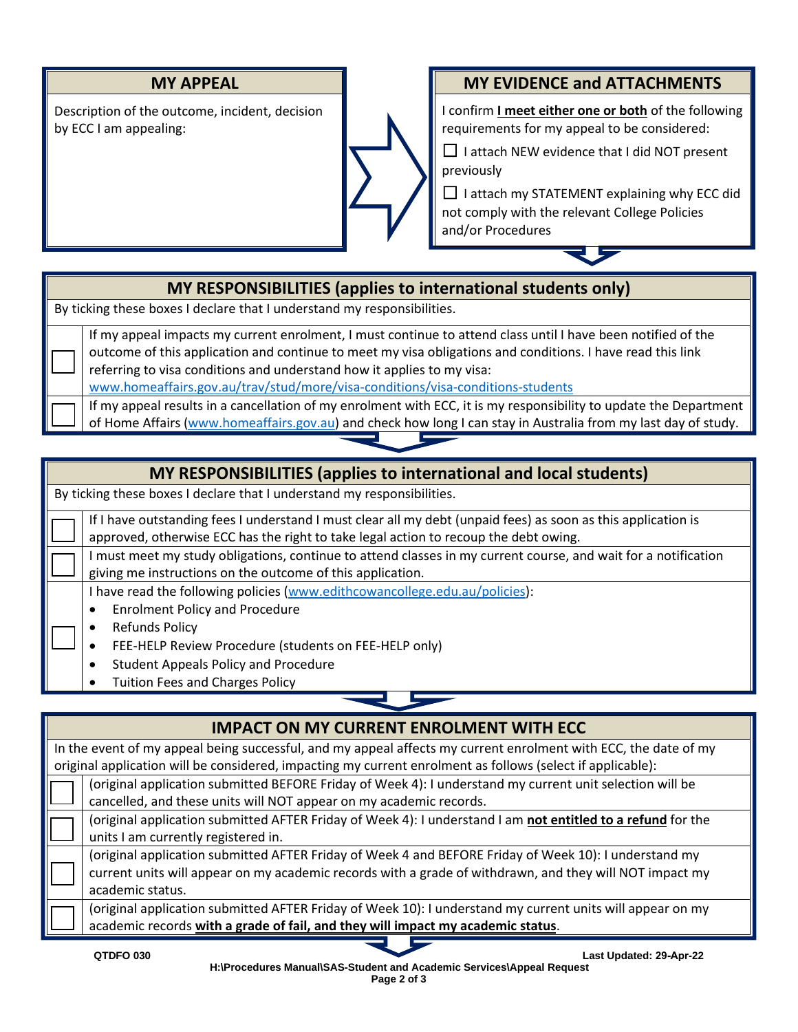

Description of the outcome, incident, decision by ECC I am appealing:



#### **MY APPEAL MY EVIDENCE and ATTACHMENTS**

I confirm **I meet either one or both** of the following requirements for my appeal to be considered:

 $\Box$  I attach NEW evidence that I did NOT present previously

 $\Box$  I attach my STATEMENT explaining why ECC did not comply with the relevant College Policies and/or Procedures

### **MY RESPONSIBILITIES (applies to international students only)**

By ticking these boxes I declare that I understand my responsibilities.

If my appeal impacts my current enrolment, I must continue to attend class until I have been notified of the outcome of this application and continue to meet my visa obligations and conditions. I have read this link referring to visa conditions and understand how it applies to my visa:

[www.homeaffairs.gov.au/trav/stud/more/visa-conditions/visa-conditions-students](http://www.homeaffairs.gov.au/trav/stud/more/visa-conditions/visa-conditions-students)

If my appeal results in a cancellation of my enrolment with ECC, it is my responsibility to update the Department of Home Affairs [\(www.homeaffairs.gov.au\)](http://www.homeaffairs.gov.au/) and check how long I can stay in Australia from my last day of study.

## **MY RESPONSIBILITIES (applies to international and local students)**

By ticking these boxes I declare that I understand my responsibilities.

If I have outstanding fees I understand I must clear all my debt (unpaid fees) as soon as this application is approved, otherwise ECC has the right to take legal action to recoup the debt owing.

I must meet my study obligations, continue to attend classes in my current course, and wait for a notification giving me instructions on the outcome of this application.

I have read the following policies [\(www.edithcowancollege.edu.au/policies\)](http://www.edithcowancollege.edu.au/policies):

- Enrolment Policy and Procedure
- Refunds Policy

Ξ

Ξ

Ξ

- FEE-HELP Review Procedure (students on FEE-HELP only)
- Student Appeals Policy and Procedure
- Tuition Fees and Charges Policy

| <b>IMPACT ON MY CURRENT ENROLMENT WITH ECC</b>                                                                  |  |  |  |  |
|-----------------------------------------------------------------------------------------------------------------|--|--|--|--|
| In the event of my appeal being successful, and my appeal affects my current enrolment with ECC, the date of my |  |  |  |  |
| original application will be considered, impacting my current enrolment as follows (select if applicable):      |  |  |  |  |
| (original application submitted BEFORE Friday of Week 4): I understand my current unit selection will be        |  |  |  |  |
| cancelled, and these units will NOT appear on my academic records.                                              |  |  |  |  |
| (original application submitted AFTER Friday of Week 4): I understand I am not entitled to a refund for the     |  |  |  |  |
| units I am currently registered in.                                                                             |  |  |  |  |
| (original application submitted AFTER Friday of Week 4 and BEFORE Friday of Week 10): I understand my           |  |  |  |  |
| current units will appear on my academic records with a grade of withdrawn, and they will NOT impact my         |  |  |  |  |
| academic status.                                                                                                |  |  |  |  |
| (original application submitted AFTER Friday of Week 10): I understand my current units will appear on my       |  |  |  |  |
| academic records with a grade of fail, and they will impact my academic status.                                 |  |  |  |  |
|                                                                                                                 |  |  |  |  |